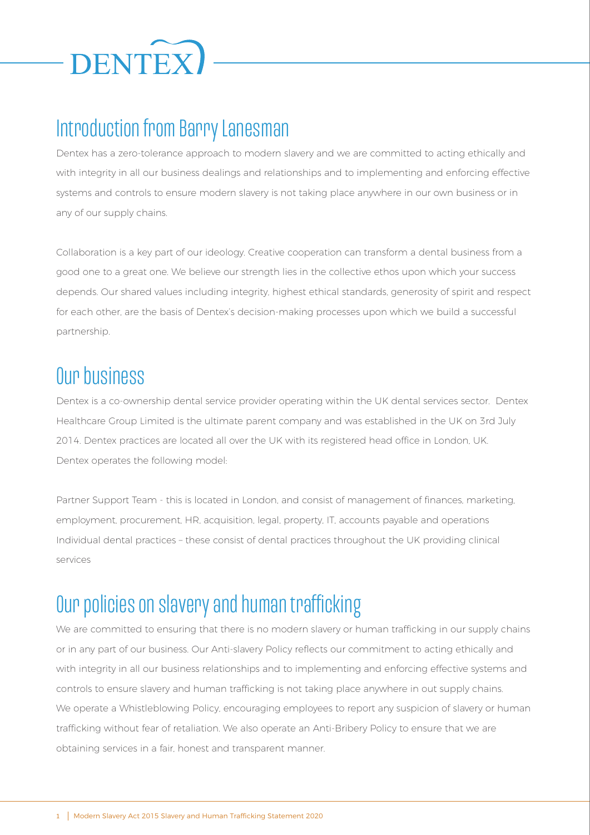

## Introduction from Barry Lanesman

Dentex has a zero-tolerance approach to modern slavery and we are committed to acting ethically and with integrity in all our business dealings and relationships and to implementing and enforcing effective systems and controls to ensure modern slavery is not taking place anywhere in our own business or in any of our supply chains.

Collaboration is a key part of our ideology. Creative cooperation can transform a dental business from a good one to a great one. We believe our strength lies in the collective ethos upon which your success depends. Our shared values including integrity, highest ethical standards, generosity of spirit and respect for each other, are the basis of Dentex's decision-making processes upon which we build a successful partnership.

### Our business

Dentex is a co-ownership dental service provider operating within the UK dental services sector. Dentex Healthcare Group Limited is the ultimate parent company and was established in the UK on 3rd July 2014. Dentex practices are located all over the UK with its registered head office in London, UK. Dentex operates the following model:

Partner Support Team - this is located in London, and consist of management of finances, marketing, employment, procurement, HR, acquisition, legal, property, IT, accounts payable and operations Individual dental practices – these consist of dental practices throughout the UK providing clinical services

# Our policies on slavery and human trafficking

We are committed to ensuring that there is no modern slavery or human trafficking in our supply chains or in any part of our business. Our Anti-slavery Policy reflects our commitment to acting ethically and with integrity in all our business relationships and to implementing and enforcing effective systems and controls to ensure slavery and human trafficking is not taking place anywhere in out supply chains. We operate a Whistleblowing Policy, encouraging employees to report any suspicion of slavery or human trafficking without fear of retaliation. We also operate an Anti-Bribery Policy to ensure that we are obtaining services in a fair, honest and transparent manner.